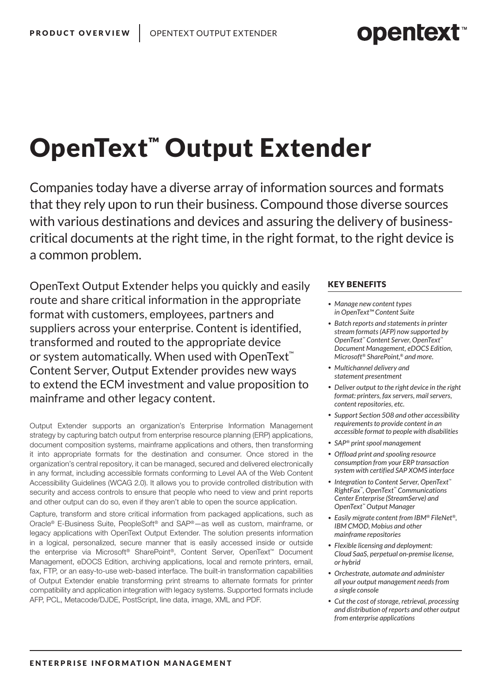# **opentext™**

# OpenText™ Output Extender

Companies today have a diverse array of information sources and formats that they rely upon to run their business. Compound those diverse sources with various destinations and devices and assuring the delivery of businesscritical documents at the right time, in the right format, to the right device is a common problem.

OpenText Output Extender helps you quickly and easily route and share critical information in the appropriate format with customers, employees, partners and suppliers across your enterprise. Content is identified, transformed and routed to the appropriate device or system automatically. When used with OpenText<sup>™</sup> Content Server, Output Extender provides new ways to extend the ECM investment and value proposition to mainframe and other legacy content.

Output Extender supports an organization's Enterprise Information Management strategy by capturing batch output from enterprise resource planning (ERP) applications, document composition systems, mainframe applications and others, then transforming it into appropriate formats for the destination and consumer. Once stored in the organization's central repository, it can be managed, secured and delivered electronically in any format, including accessible formats conforming to Level AA of the Web Content Accessibility Guidelines (WCAG 2.0). It allows you to provide controlled distribution with security and access controls to ensure that people who need to view and print reports and other output can do so, even if they aren't able to open the source application.

Capture, transform and store critical information from packaged applications, such as Oracle® E-Business Suite, PeopleSoft® and SAP®—as well as custom, mainframe, or legacy applications with OpenText Output Extender. The solution presents information in a logical, personalized, secure manner that is easily accessed inside or outside the enterprise via Microsoft® SharePoint®, Content Server, OpenText™ Document Management, eDOCS Edition, archiving applications, local and remote printers, email, fax, FTP, or an easy-to-use web-based interface. The built-in transformation capabilities of Output Extender enable transforming print streams to alternate formats for printer compatibility and application integration with legacy systems. Supported formats include AFP, PCL, Metacode/DJDE, PostScript, line data, image, XML and PDF.

### KEY BENEFITS

- *• Manage new content types in OpenText™ Content Suite*
- *• Batch reports and statements in printer stream formats (AFP) now supported by OpenText™ Content Server, OpenText™ Document Management, eDOCS Edition, Microsoft® SharePoint,® and more.*
- *• Multichannel delivery and statement presentment*
- *• Deliver output to the right device in the right format: printers, fax servers, mail servers, content repositories, etc.*
- *• Support Section 508 and other accessibility requirements to provide content in an accessible format to people with disabilities*
- *• SAP® print spool management*
- *• Offload print and spooling resource consumption from your ERP transaction system with certified SAP XOMS interface*
- *• Integration to Content Server, OpenText™ RightFax™, OpenText™ Communications Center Enterprise (StreamServe) and OpenText™ Output Manager*
- *• Easily migrate content from IBM® FileNet®, IBM CMOD, Mobius and other mainframe repositories*
- *• Flexible licensing and deployment: Cloud SaaS, perpetual on-premise license, or hybrid*
- *• Orchestrate, automate and administer all your output management needs from a single console*
- *• Cut the cost of storage, retrieval, processing and distribution of reports and other output from enterprise applications*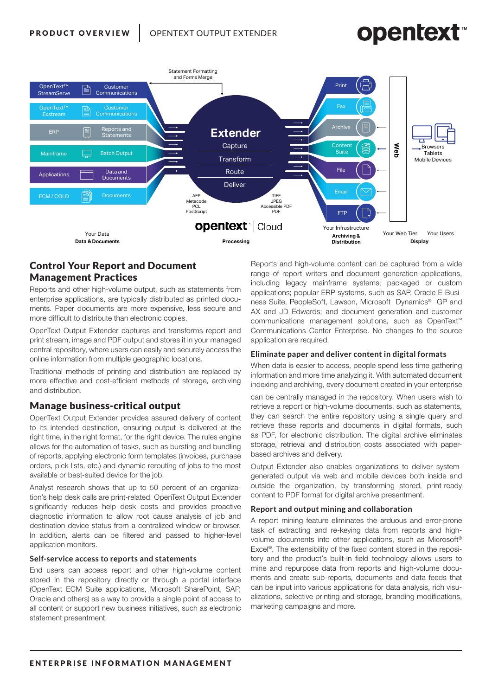# **opentext**



# Control Your Report and Document Management Practices

Reports and other high-volume output, such as statements from enterprise applications, are typically distributed as printed documents. Paper documents are more expensive, less secure and more difficult to distribute than electronic copies.

OpenText Output Extender captures and transforms report and print stream, image and PDF output and stores it in your managed central repository, where users can easily and securely access the online information from multiple geographic locations.

Traditional methods of printing and distribution are replaced by more effective and cost-efficient methods of storage, archiving and distribution.

### Manage business-critical output

OpenText Output Extender provides assured delivery of content to its intended destination, ensuring output is delivered at the right time, in the right format, for the right device. The rules engine allows for the automation of tasks, such as bursting and bundling of reports, applying electronic form templates (invoices, purchase orders, pick lists, etc.) and dynamic rerouting of jobs to the most available or best-suited device for the job.

Analyst research shows that up to 50 percent of an organization's help desk calls are print-related. OpenText Output Extender significantly reduces help desk costs and provides proactive diagnostic information to allow root cause analysis of job and destination device status from a centralized window or browser. In addition, alerts can be filtered and passed to higher-level application monitors.

### **Self-service access to reports and statements**

End users can access report and other high-volume content stored in the repository directly or through a portal interface (OpenText ECM Suite applications, Microsoft SharePoint, SAP, Oracle and others) as a way to provide a single point of access to all content or support new business initiatives, such as electronic statement presentment.

Reports and high-volume content can be captured from a wide range of report writers and document generation applications, including legacy mainframe systems; packaged or custom applications; popular ERP systems, such as SAP, Oracle E-Business Suite, PeopleSoft, Lawson, Microsoft Dynamics® GP and AX and JD Edwards; and document generation and customer communications management solutions, such as OpenText™ Communications Center Enterprise. No changes to the source application are required.

### **Eliminate paper and deliver content in digital formats**

When data is easier to access, people spend less time gathering information and more time analyzing it. With automated document indexing and archiving, every document created in your enterprise

can be centrally managed in the repository. When users wish to retrieve a report or high-volume documents, such as statements, they can search the entire repository using a single query and retrieve these reports and documents in digital formats, such as PDF, for electronic distribution. The digital archive eliminates storage, retrieval and distribution costs associated with paperbased archives and delivery.

Output Extender also enables organizations to deliver systemgenerated output via web and mobile devices both inside and outside the organization, by transforming stored, print-ready content to PDF format for digital archive presentment.

### **Report and output mining and collaboration**

A report mining feature eliminates the arduous and error-prone task of extracting and re-keying data from reports and highvolume documents into other applications, such as Microsoft® Excel®. The extensibility of the fixed content stored in the repository and the product's built-in field technology allows users to mine and repurpose data from reports and high-volume documents and create sub-reports, documents and data feeds that can be input into various applications for data analysis, rich visualizations, selective printing and storage, branding modifications, marketing campaigns and more.